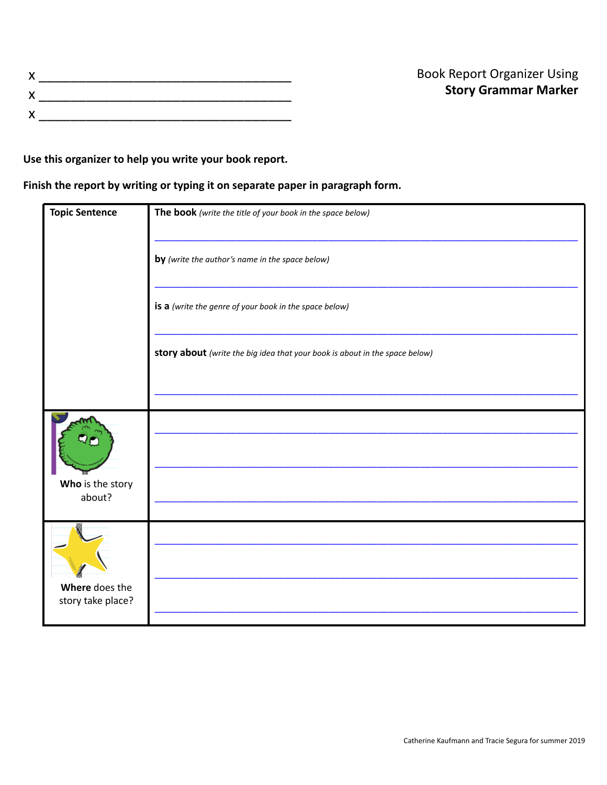**Use this organizer to help you write your book report.**

**Finish the report by writing or typing it on separate paper in paragraph form.**

| <b>Topic Sentence</b>               | The book (write the title of your book in the space below)                  |
|-------------------------------------|-----------------------------------------------------------------------------|
|                                     | by (write the author's name in the space below)                             |
|                                     | is a (write the genre of your book in the space below)                      |
|                                     | story about (write the big idea that your book is about in the space below) |
|                                     |                                                                             |
| Who is the story<br>about?          |                                                                             |
|                                     |                                                                             |
| Where does the<br>story take place? |                                                                             |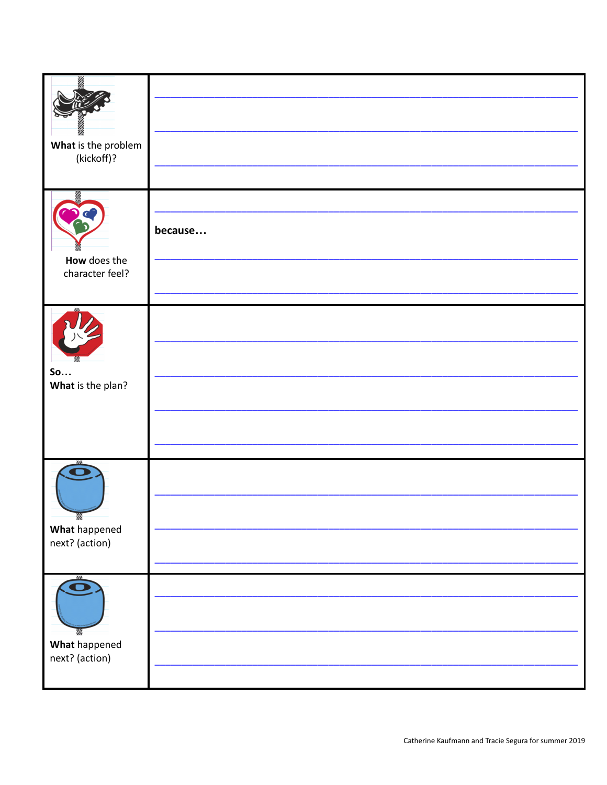| What is the problem<br>(kickoff)?           |         |
|---------------------------------------------|---------|
| How does the<br>character feel?             | because |
| So<br>What is the plan?                     |         |
| <b>Z</b><br>What happened<br>next? (action) |         |
| Ö<br>What happened<br>next? (action)        |         |